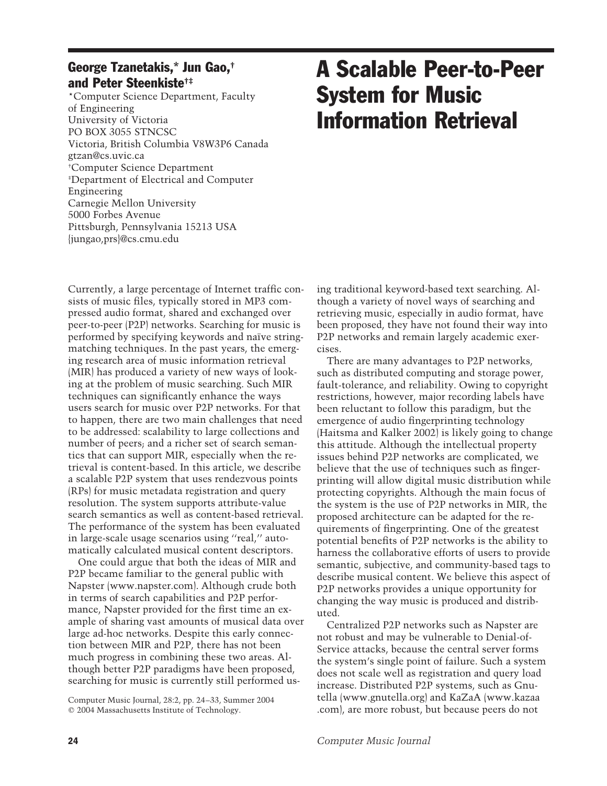# George Tzanetakis,\* Jun Gao,† and Peter Steenkiste<sup>†‡</sup>

\*Computer Science Department, Faculty of Engineering University of Victoria PO BOX 3055 STNCSC Victoria, British Columbia V8W3P6 Canada gtzan@cs.uvic.ca †Computer Science Department ‡Department of Electrical and Computer Engineering Carnegie Mellon University 5000 Forbes Avenue Pittsburgh, Pennsylvania 15213 USA {jungao,prs}@cs.cmu.edu

# A Scalable Peer-to-Peer System for Music Information Retrieval

Currently, a large percentage of Internet traffic consists of music files, typically stored in MP3 compressed audio format, shared and exchanged over peer-to-peer (P2P) networks. Searching for music is performed by specifying keywords and naïve stringmatching techniques. In the past years, the emerging research area of music information retrieval (MIR) has produced a variety of new ways of looking at the problem of music searching. Such MIR techniques can significantly enhance the ways users search for music over P2P networks. For that to happen, there are two main challenges that need to be addressed: scalability to large collections and number of peers; and a richer set of search semantics that can support MIR, especially when the retrieval is content-based. In this article, we describe a scalable P2P system that uses rendezvous points (RPs) for music metadata registration and query resolution. The system supports attribute-value search semantics as well as content-based retrieval. The performance of the system has been evaluated in large-scale usage scenarios using ''real,'' automatically calculated musical content descriptors.

One could argue that both the ideas of MIR and P2P became familiar to the general public with Napster (www.napster.com). Although crude both in terms of search capabilities and P2P performance, Napster provided for the first time an example of sharing vast amounts of musical data over large ad-hoc networks. Despite this early connection between MIR and P2P, there has not been much progress in combining these two areas. Although better P2P paradigms have been proposed, searching for music is currently still performed us-

Computer Music Journal, 28:2, pp. 24–33, Summer 2004 2004 Massachusetts Institute of Technology.

ing traditional keyword-based text searching. Although a variety of novel ways of searching and retrieving music, especially in audio format, have been proposed, they have not found their way into P2P networks and remain largely academic exercises.

There are many advantages to P2P networks, such as distributed computing and storage power, fault-tolerance, and reliability. Owing to copyright restrictions, however, major recording labels have been reluctant to follow this paradigm, but the emergence of audio fingerprinting technology (Haitsma and Kalker 2002) is likely going to change this attitude. Although the intellectual property issues behind P2P networks are complicated, we believe that the use of techniques such as fingerprinting will allow digital music distribution while protecting copyrights. Although the main focus of the system is the use of P2P networks in MIR, the proposed architecture can be adapted for the requirements of fingerprinting. One of the greatest potential benefits of P2P networks is the ability to harness the collaborative efforts of users to provide semantic, subjective, and community-based tags to describe musical content. We believe this aspect of P2P networks provides a unique opportunity for changing the way music is produced and distributed.

Centralized P2P networks such as Napster are not robust and may be vulnerable to Denial-of-Service attacks, because the central server forms the system's single point of failure. Such a system does not scale well as registration and query load increase. Distributed P2P systems, such as Gnutella (www.gnutella.org) and KaZaA (www.kazaa .com), are more robust, but because peers do not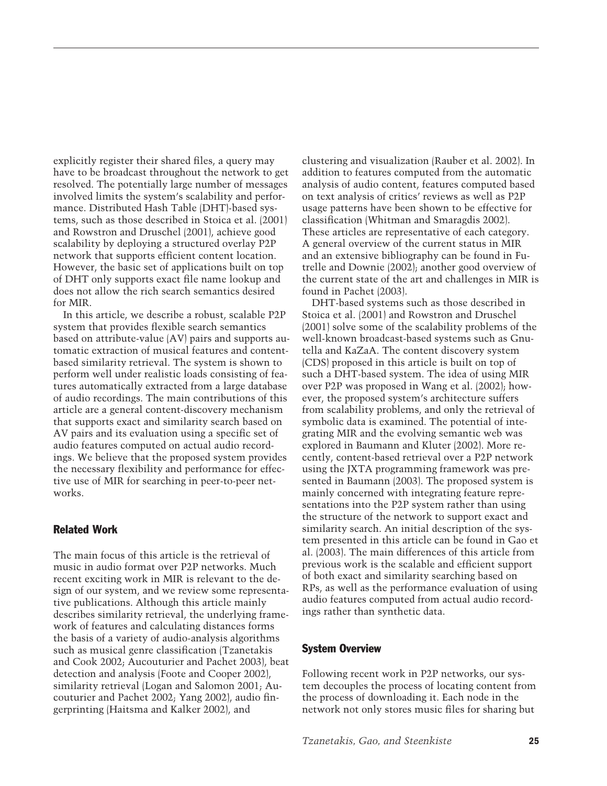explicitly register their shared files, a query may have to be broadcast throughout the network to get resolved. The potentially large number of messages involved limits the system's scalability and performance. Distributed Hash Table (DHT)-based systems, such as those described in Stoica et al. (2001) and Rowstron and Druschel (2001), achieve good scalability by deploying a structured overlay P2P network that supports efficient content location. However, the basic set of applications built on top of DHT only supports exact file name lookup and does not allow the rich search semantics desired for MIR.

In this article, we describe a robust, scalable P2P system that provides flexible search semantics based on attribute-value (AV) pairs and supports automatic extraction of musical features and contentbased similarity retrieval. The system is shown to perform well under realistic loads consisting of features automatically extracted from a large database of audio recordings. The main contributions of this article are a general content-discovery mechanism that supports exact and similarity search based on AV pairs and its evaluation using a specific set of audio features computed on actual audio recordings. We believe that the proposed system provides the necessary flexibility and performance for effective use of MIR for searching in peer-to-peer networks.

# Related Work

The main focus of this article is the retrieval of music in audio format over P2P networks. Much recent exciting work in MIR is relevant to the design of our system, and we review some representative publications. Although this article mainly describes similarity retrieval, the underlying framework of features and calculating distances forms the basis of a variety of audio-analysis algorithms such as musical genre classification (Tzanetakis and Cook 2002; Aucouturier and Pachet 2003), beat detection and analysis (Foote and Cooper 2002), similarity retrieval (Logan and Salomon 2001; Aucouturier and Pachet 2002; Yang 2002), audio fingerprinting (Haitsma and Kalker 2002), and

clustering and visualization (Rauber et al. 2002). In addition to features computed from the automatic analysis of audio content, features computed based on text analysis of critics' reviews as well as P2P usage patterns have been shown to be effective for classification (Whitman and Smaragdis 2002). These articles are representative of each category. A general overview of the current status in MIR and an extensive bibliography can be found in Futrelle and Downie (2002); another good overview of the current state of the art and challenges in MIR is found in Pachet (2003).

DHT-based systems such as those described in Stoica et al. (2001) and Rowstron and Druschel (2001) solve some of the scalability problems of the well-known broadcast-based systems such as Gnutella and KaZaA. The content discovery system (CDS) proposed in this article is built on top of such a DHT-based system. The idea of using MIR over P2P was proposed in Wang et al. (2002); however, the proposed system's architecture suffers from scalability problems, and only the retrieval of symbolic data is examined. The potential of integrating MIR and the evolving semantic web was explored in Baumann and Kluter (2002). More recently, content-based retrieval over a P2P network using the JXTA programming framework was presented in Baumann (2003). The proposed system is mainly concerned with integrating feature representations into the P2P system rather than using the structure of the network to support exact and similarity search. An initial description of the system presented in this article can be found in Gao et al. (2003). The main differences of this article from previous work is the scalable and efficient support of both exact and similarity searching based on RPs, as well as the performance evaluation of using audio features computed from actual audio recordings rather than synthetic data.

### System Overview

Following recent work in P2P networks, our system decouples the process of locating content from the process of downloading it. Each node in the network not only stores music files for sharing but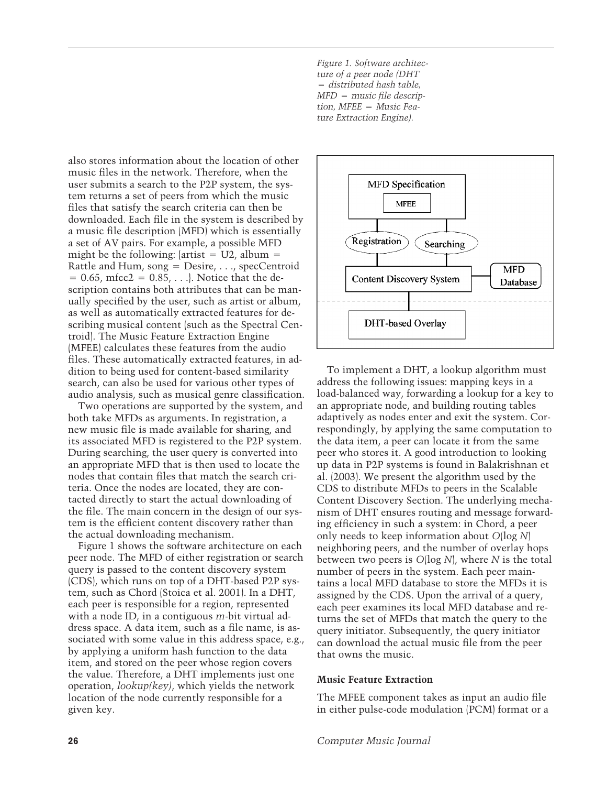*Figure 1. Software architecture of a peer node (DHT* - *distributed hash table, MFD* - *music file descrip* $tion, MFEE = Music Fea$ *ture Extraction Engine).*

also stores information about the location of other music files in the network. Therefore, when the user submits a search to the P2P system, the system returns a set of peers from which the music files that satisfy the search criteria can then be downloaded. Each file in the system is described by a music file description (MFD) which is essentially a set of AV pairs. For example, a possible MFD might be the following: {artist =  $U2$ , album = Rattle and Hum, song - Desire, . . ., specCentroid  $= 0.65$ , mfcc2  $= 0.85$ , . . .}. Notice that the description contains both attributes that can be manually specified by the user, such as artist or album, as well as automatically extracted features for describing musical content (such as the Spectral Centroid). The Music Feature Extraction Engine (MFEE) calculates these features from the audio files. These automatically extracted features, in addition to being used for content-based similarity search, can also be used for various other types of audio analysis, such as musical genre classification.

Two operations are supported by the system, and both take MFDs as arguments. In registration, a new music file is made available for sharing, and its associated MFD is registered to the P2P system. During searching, the user query is converted into an appropriate MFD that is then used to locate the nodes that contain files that match the search criteria. Once the nodes are located, they are contacted directly to start the actual downloading of the file. The main concern in the design of our system is the efficient content discovery rather than the actual downloading mechanism.

Figure 1 shows the software architecture on each peer node. The MFD of either registration or search query is passed to the content discovery system (CDS), which runs on top of a DHT-based P2P system, such as Chord (Stoica et al. 2001). In a DHT, each peer is responsible for a region, represented with a node ID, in a contiguous *m*-bit virtual address space. A data item, such as a file name, is associated with some value in this address space, e.g., by applying a uniform hash function to the data item, and stored on the peer whose region covers the value. Therefore, a DHT implements just one operation, *lookup(key)*, which yields the network location of the node currently responsible for a given key.



To implement a DHT, a lookup algorithm must address the following issues: mapping keys in a load-balanced way, forwarding a lookup for a key to an appropriate node, and building routing tables adaptively as nodes enter and exit the system. Correspondingly, by applying the same computation to the data item, a peer can locate it from the same peer who stores it. A good introduction to looking up data in P2P systems is found in Balakrishnan et al. (2003). We present the algorithm used by the CDS to distribute MFDs to peers in the Scalable Content Discovery Section. The underlying mechanism of DHT ensures routing and message forwarding efficiency in such a system: in Chord, a peer only needs to keep information about *O*(log *N*) neighboring peers, and the number of overlay hops between two peers is *O*(log *N*), where *N* is the total number of peers in the system. Each peer maintains a local MFD database to store the MFDs it is assigned by the CDS. Upon the arrival of a query, each peer examines its local MFD database and returns the set of MFDs that match the query to the query initiator. Subsequently, the query initiator can download the actual music file from the peer that owns the music.

# **Music Feature Extraction**

The MFEE component takes as input an audio file in either pulse-code modulation (PCM) format or a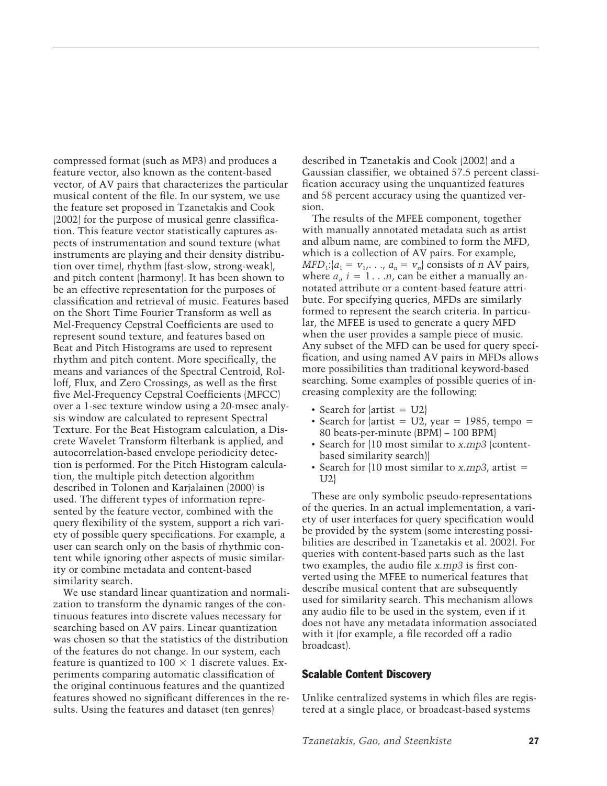compressed format (such as MP3) and produces a feature vector, also known as the content-based vector, of AV pairs that characterizes the particular musical content of the file. In our system, we use the feature set proposed in Tzanetakis and Cook (2002) for the purpose of musical genre classification. This feature vector statistically captures aspects of instrumentation and sound texture (what instruments are playing and their density distribution over time), rhythm (fast-slow, strong-weak), and pitch content (harmony). It has been shown to be an effective representation for the purposes of classification and retrieval of music. Features based on the Short Time Fourier Transform as well as Mel-Frequency Cepstral Coefficients are used to represent sound texture, and features based on Beat and Pitch Histograms are used to represent rhythm and pitch content. More specifically, the means and variances of the Spectral Centroid, Rolloff, Flux, and Zero Crossings, as well as the first five Mel-Frequency Cepstral Coefficients (MFCC) over a 1-sec texture window using a 20-msec analysis window are calculated to represent Spectral Texture. For the Beat Histogram calculation, a Discrete Wavelet Transform filterbank is applied, and autocorrelation-based envelope periodicity detection is performed. For the Pitch Histogram calculation, the multiple pitch detection algorithm described in Tolonen and Karjalainen (2000) is used. The different types of information represented by the feature vector, combined with the query flexibility of the system, support a rich variety of possible query specifications. For example, a user can search only on the basis of rhythmic content while ignoring other aspects of music similarity or combine metadata and content-based similarity search.

We use standard linear quantization and normalization to transform the dynamic ranges of the continuous features into discrete values necessary for searching based on AV pairs. Linear quantization was chosen so that the statistics of the distribution of the features do not change. In our system, each feature is quantized to  $100 \times 1$  discrete values. Experiments comparing automatic classification of the original continuous features and the quantized features showed no significant differences in the results. Using the features and dataset (ten genres)

described in Tzanetakis and Cook (2002) and a Gaussian classifier, we obtained 57.5 percent classification accuracy using the unquantized features and 58 percent accuracy using the quantized version.

The results of the MFEE component, together with manually annotated metadata such as artist and album name, are combined to form the MFD, which is a collection of AV pairs. For example,  $\text{MFD}_1$ : { $a_1 = v_1, \ldots, a_n = v_n$ } consists of *n* AV pairs, where  $a_{ij}$   $i = 1...n$ , can be either a manually annotated attribute or a content-based feature attribute. For specifying queries, MFDs are similarly formed to represent the search criteria. In particular, the MFEE is used to generate a query MFD when the user provides a sample piece of music. Any subset of the MFD can be used for query specification, and using named AV pairs in MFDs allows more possibilities than traditional keyword-based searching. Some examples of possible queries of increasing complexity are the following:

- Search for  $\{ \text{artist} = U2 \}$
- Search for { $artist = U2$ , year = 1985, tempo = 80 beats-per-minute (BPM) – 100 BPM}
- Search for {10 most similar to *x.mp3* (contentbased similarity search)}
- Search for  $\{10 \text{ most similar to } x.mp3, \text{ artist} =$ U2}

These are only symbolic pseudo-representations of the queries. In an actual implementation, a variety of user interfaces for query specification would be provided by the system (some interesting possibilities are described in Tzanetakis et al. 2002). For queries with content-based parts such as the last two examples, the audio file *x.mp3* is first converted using the MFEE to numerical features that describe musical content that are subsequently used for similarity search. This mechanism allows any audio file to be used in the system, even if it does not have any metadata information associated with it (for example, a file recorded off a radio broadcast).

#### Scalable Content Discovery

Unlike centralized systems in which files are registered at a single place, or broadcast-based systems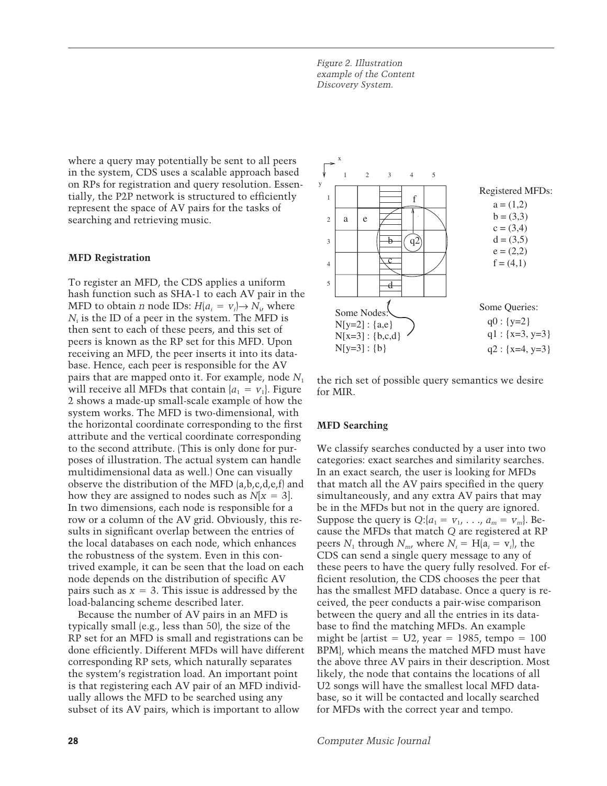*Figure 2. Illustration example of the Content Discovery System.*

where a query may potentially be sent to all peers in the system, CDS uses a scalable approach based on RPs for registration and query resolution. Essentially, the P2P network is structured to efficiently represent the space of AV pairs for the tasks of searching and retrieving music.

#### **MFD Registration**

To register an MFD, the CDS applies a uniform hash function such as SHA-1 to each AV pair in the MFD to obtain *n* node IDs:  $H(a_i = v_i) \rightarrow N_i$ , where *N*, is the ID of a peer in the system. The MFD is then sent to each of these peers, and this set of peers is known as the RP set for this MFD. Upon receiving an MFD, the peer inserts it into its database. Hence, each peer is responsible for the AV pairs that are mapped onto it. For example, node *N*<sup>1</sup> will receive all MFDs that contain  $\{a_1 = v_1\}$ . Figure 2 shows a made-up small-scale example of how the system works. The MFD is two-dimensional, with the horizontal coordinate corresponding to the first attribute and the vertical coordinate corresponding to the second attribute. (This is only done for purposes of illustration. The actual system can handle multidimensional data as well.) One can visually observe the distribution of the MFD (a,b,c,d,e,f) and how they are assigned to nodes such as  $N[x = 3]$ . In two dimensions, each node is responsible for a row or a column of the AV grid. Obviously, this results in significant overlap between the entries of the local databases on each node, which enhances the robustness of the system. Even in this contrived example, it can be seen that the load on each node depends on the distribution of specific AV pairs such as  $x = 3$ . This issue is addressed by the load-balancing scheme described later.

Because the number of AV pairs in an MFD is typically small (e.g., less than 50), the size of the RP set for an MFD is small and registrations can be done efficiently. Different MFDs will have different corresponding RP sets, which naturally separates the system's registration load. An important point is that registering each AV pair of an MFD individually allows the MFD to be searched using any subset of its AV pairs, which is important to allow



the rich set of possible query semantics we desire for MIR.

#### **MFD Searching**

We classify searches conducted by a user into two categories: exact searches and similarity searches. In an exact search, the user is looking for MFDs that match all the AV pairs specified in the query simultaneously, and any extra AV pairs that may be in the MFDs but not in the query are ignored. Suppose the query is  $Q: \{a_1 = v_1, \ldots, a_m = v_m\}$ . Because the MFDs that match *Q* are registered at RP peers  $N_1$  through  $N_m$ , where  $N_i = H(a_i = v_i)$ , the CDS can send a single query message to any of these peers to have the query fully resolved. For efficient resolution, the CDS chooses the peer that has the smallest MFD database. Once a query is received, the peer conducts a pair-wise comparison between the query and all the entries in its database to find the matching MFDs. An example might be {artist =  $U2$ , year = 1985, tempo = 100 BPM}, which means the matched MFD must have the above three AV pairs in their description. Most likely, the node that contains the locations of all U2 songs will have the smallest local MFD database, so it will be contacted and locally searched for MFDs with the correct year and tempo.

**28** *Computer Music Journal*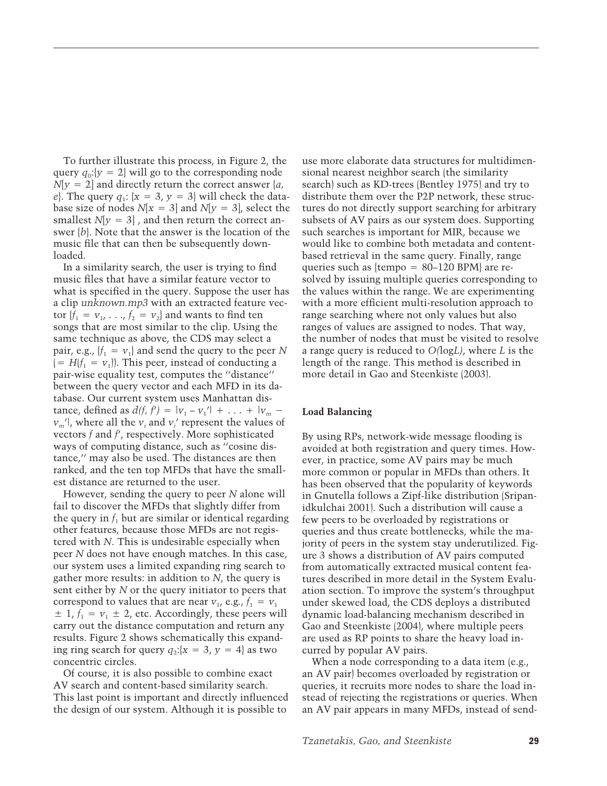To further illustrate this process, in Figure 2, the query  $q_0$ : $\{y = 2\}$  will go to the corresponding node  $N[y = 2]$  and directly return the correct answer  $\{a, a\}$ *e*}. The query  $q_1$ : { $x = 3$ ,  $y = 3$ } will check the database size of nodes  $N[x = 3]$  and  $N[y = 3]$ , select the smallest  $N[y = 3]$  , and then return the correct answer {*b*}. Note that the answer is the location of the music file that can then be subsequently downloaded.

In a similarity search, the user is trying to find music files that have a similar feature vector to what is specified in the query. Suppose the user has a clip *unknown.mp3* with an extracted feature vec- $\text{tor } \{f_1 = v_1, \ldots, f_2 = v_2\}$  and wants to find ten songs that are most similar to the clip. Using the same technique as above, the CDS may select a pair, e.g.,  $\{f_1 = v_1\}$  and send the query to the peer N  $(= H(f_1 = v_1))$ . This peer, instead of conducting a pair-wise equality test, computes the ''distance'' between the query vector and each MFD in its database. Our current system uses Manhattan dis- $\tance$ , defined as  $d(f, f') = |v_1 - v_1'| + \ldots + |v_m - v_m|$  $v_m$ ', where all the  $v_i$  and  $v_i$ ' represent the values of vectors *f* and *f*', respectively. More sophisticated ways of computing distance, such as ''cosine distance,'' may also be used. The distances are then ranked, and the ten top MFDs that have the smallest distance are returned to the user.

However, sending the query to peer *N* alone will fail to discover the MFDs that slightly differ from the query in  $f_1$  but are similar or identical regarding other features, because those MFDs are not registered with *N*. This is undesirable especially when peer *N* does not have enough matches. In this case, our system uses a limited expanding ring search to gather more results: in addition to *N*, the query is sent either by *N* or the query initiator to peers that correspond to values that are near  $v_1$ , e.g.,  $f_1 = v_1$  $\pm$  1,  $f_1 = v_1 \pm 2$ , etc. Accordingly, these peers will carry out the distance computation and return any results. Figure 2 shows schematically this expanding ring search for query  $q_2$ :{ $x = 3$ ,  $y = 4$ } as two concentric circles.

Of course, it is also possible to combine exact AV search and content-based similarity search. This last point is important and directly influenced the design of our system. Although it is possible to

use more elaborate data structures for multidimensional nearest neighbor search (the similarity search) such as KD-trees (Bentley 1975) and try to distribute them over the P2P network, these structures do not directly support searching for arbitrary subsets of AV pairs as our system does. Supporting such searches is important for MIR, because we would like to combine both metadata and contentbased retrieval in the same query. Finally, range queries such as  ${\rm \{tempo\ =\ 80-120\ BBM\}}$  are resolved by issuing multiple queries corresponding to the values within the range. We are experimenting with a more efficient multi-resolution approach to range searching where not only values but also ranges of values are assigned to nodes. That way, the number of nodes that must be visited to resolve a range query is reduced to *O(*log*L)*, where *L* is the length of the range. This method is described in more detail in Gao and Steenkiste (2003).

#### **Load Balancing**

By using RPs, network-wide message flooding is avoided at both registration and query times. However, in practice, some AV pairs may be much more common or popular in MFDs than others. It has been observed that the popularity of keywords in Gnutella follows a Zipf-like distribution (Sripanidkulchai 2001). Such a distribution will cause a few peers to be overloaded by registrations or queries and thus create bottlenecks, while the majority of peers in the system stay underutilized. Figure 3 shows a distribution of AV pairs computed from automatically extracted musical content features described in more detail in the System Evaluation section. To improve the system's throughput under skewed load, the CDS deploys a distributed dynamic load-balancing mechanism described in Gao and Steenkiste (2004), where multiple peers are used as RP points to share the heavy load incurred by popular AV pairs.

When a node corresponding to a data item (e.g., an AV pair) becomes overloaded by registration or queries, it recruits more nodes to share the load instead of rejecting the registrations or queries. When an AV pair appears in many MFDs, instead of send-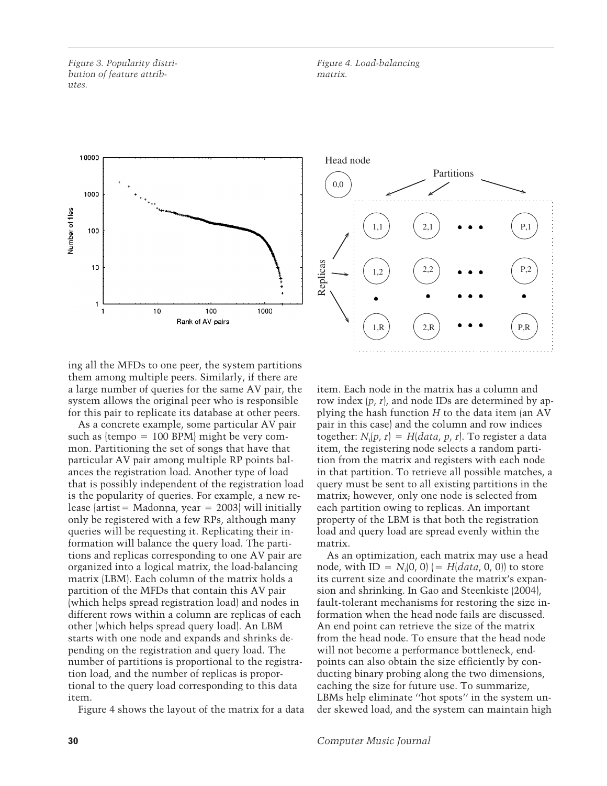*Figure 3. Popularity distribution of feature attributes.*

*Figure 4. Load-balancing matrix.*





ing all the MFDs to one peer, the system partitions them among multiple peers. Similarly, if there are a large number of queries for the same AV pair, the system allows the original peer who is responsible for this pair to replicate its database at other peers.

As a concrete example, some particular AV pair such as {tempo = 100 BPM} might be very common. Partitioning the set of songs that have that particular AV pair among multiple RP points balances the registration load. Another type of load that is possibly independent of the registration load is the popularity of queries. For example, a new release {artist= Madonna, year = 2003} will initially only be registered with a few RPs, although many queries will be requesting it. Replicating their information will balance the query load. The partitions and replicas corresponding to one AV pair are organized into a logical matrix, the load-balancing matrix (LBM). Each column of the matrix holds a partition of the MFDs that contain this AV pair (which helps spread registration load) and nodes in different rows within a column are replicas of each other (which helps spread query load). An LBM starts with one node and expands and shrinks depending on the registration and query load. The number of partitions is proportional to the registration load, and the number of replicas is proportional to the query load corresponding to this data item.

Figure 4 shows the layout of the matrix for a data

item. Each node in the matrix has a column and row index (*p*, *r*), and node IDs are determined by applying the hash function *H* to the data item (an AV pair in this case) and the column and row indices  $\text{together: } N_i(p, r) = H(data, p, r).$  To register a data item, the registering node selects a random partition from the matrix and registers with each node in that partition. To retrieve all possible matches, a query must be sent to all existing partitions in the matrix; however, only one node is selected from each partition owing to replicas. An important property of the LBM is that both the registration load and query load are spread evenly within the matrix.

As an optimization, each matrix may use a head node, with ID =  $N_i$ (0, 0) (=  $H(data, 0, 0)$ ) to store its current size and coordinate the matrix's expansion and shrinking. In Gao and Steenkiste (2004), fault-tolerant mechanisms for restoring the size information when the head node fails are discussed. An end point can retrieve the size of the matrix from the head node. To ensure that the head node will not become a performance bottleneck, endpoints can also obtain the size efficiently by conducting binary probing along the two dimensions, caching the size for future use. To summarize, LBMs help eliminate ''hot spots'' in the system under skewed load, and the system can maintain high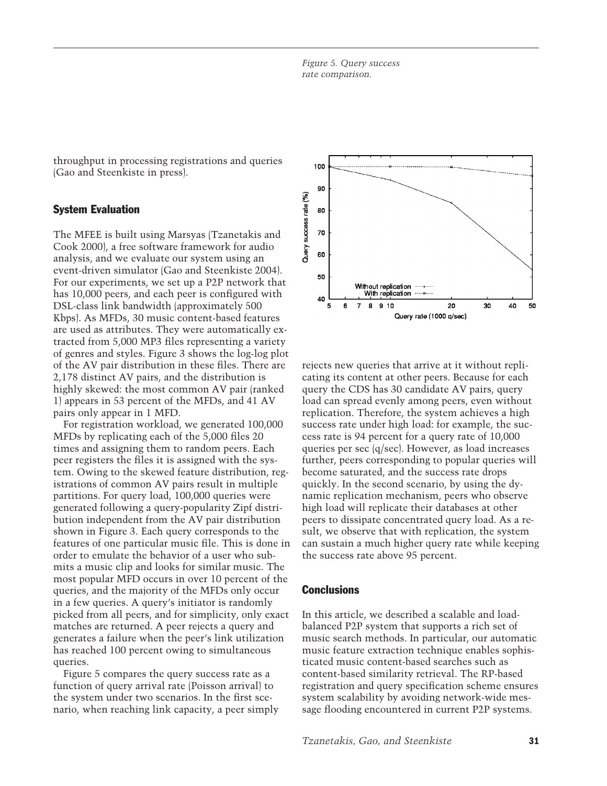*Figure 5. Query success rate comparison.*

throughput in processing registrations and queries (Gao and Steenkiste in press).

#### System Evaluation

The MFEE is built using Marsyas (Tzanetakis and Cook 2000), a free software framework for audio analysis, and we evaluate our system using an event-driven simulator (Gao and Steenkiste 2004). For our experiments, we set up a P2P network that has 10,000 peers, and each peer is configured with DSL-class link bandwidth (approximately 500 Kbps). As MFDs, 30 music content-based features are used as attributes. They were automatically extracted from 5,000 MP3 files representing a variety of genres and styles. Figure 3 shows the log-log plot of the AV pair distribution in these files. There are 2,178 distinct AV pairs, and the distribution is highly skewed: the most common AV pair (ranked 1) appears in 53 percent of the MFDs, and 41 AV pairs only appear in 1 MFD.

For registration workload, we generated 100,000 MFDs by replicating each of the 5,000 files 20 times and assigning them to random peers. Each peer registers the files it is assigned with the system. Owing to the skewed feature distribution, registrations of common AV pairs result in multiple partitions. For query load, 100,000 queries were generated following a query-popularity Zipf distribution independent from the AV pair distribution shown in Figure 3. Each query corresponds to the features of one particular music file. This is done in order to emulate the behavior of a user who submits a music clip and looks for similar music. The most popular MFD occurs in over 10 percent of the queries, and the majority of the MFDs only occur in a few queries. A query's initiator is randomly picked from all peers, and for simplicity, only exact matches are returned. A peer rejects a query and generates a failure when the peer's link utilization has reached 100 percent owing to simultaneous queries.

Figure 5 compares the query success rate as a function of query arrival rate (Poisson arrival) to the system under two scenarios. In the first scenario, when reaching link capacity, a peer simply



rejects new queries that arrive at it without replicating its content at other peers. Because for each query the CDS has 30 candidate AV pairs, query load can spread evenly among peers, even without replication. Therefore, the system achieves a high success rate under high load: for example, the success rate is 94 percent for a query rate of 10,000 queries per sec (q/sec). However, as load increases further, peers corresponding to popular queries will become saturated, and the success rate drops quickly. In the second scenario, by using the dynamic replication mechanism, peers who observe high load will replicate their databases at other peers to dissipate concentrated query load. As a result, we observe that with replication, the system can sustain a much higher query rate while keeping the success rate above 95 percent.

# **Conclusions**

In this article, we described a scalable and loadbalanced P2P system that supports a rich set of music search methods. In particular, our automatic music feature extraction technique enables sophisticated music content-based searches such as content-based similarity retrieval. The RP-based registration and query specification scheme ensures system scalability by avoiding network-wide message flooding encountered in current P2P systems.

*Tzanetakis, Gao, and Steenkiste* **31**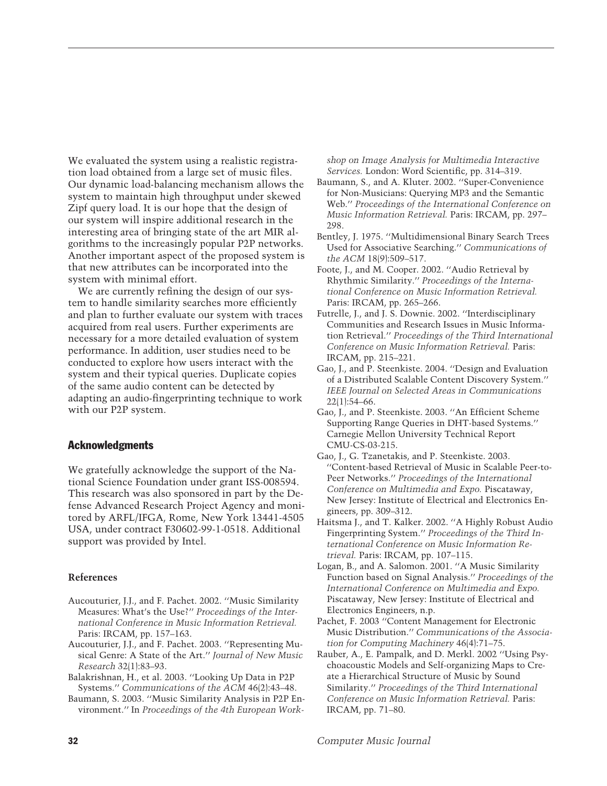We evaluated the system using a realistic registration load obtained from a large set of music files. Our dynamic load-balancing mechanism allows the system to maintain high throughput under skewed Zipf query load. It is our hope that the design of our system will inspire additional research in the interesting area of bringing state of the art MIR algorithms to the increasingly popular P2P networks. Another important aspect of the proposed system is that new attributes can be incorporated into the system with minimal effort.

We are currently refining the design of our system to handle similarity searches more efficiently and plan to further evaluate our system with traces acquired from real users. Further experiments are necessary for a more detailed evaluation of system performance. In addition, user studies need to be conducted to explore how users interact with the system and their typical queries. Duplicate copies of the same audio content can be detected by adapting an audio-fingerprinting technique to work with our P2P system.

## Acknowledgments

We gratefully acknowledge the support of the National Science Foundation under grant ISS-008594. This research was also sponsored in part by the Defense Advanced Research Project Agency and monitored by ARFL/IFGA, Rome, New York 13441-4505 USA, under contract F30602-99-1-0518. Additional support was provided by Intel.

#### **References**

- Aucouturier, J.J., and F. Pachet. 2002. ''Music Similarity Measures: What's the Use?'' *Proceedings of the International Conference in Music Information Retrieval.* Paris: IRCAM, pp. 157–163.
- Aucouturier, J.J., and F. Pachet. 2003. ''Representing Musical Genre: A State of the Art.'' *Journal of New Music Research* 32(1):83–93.
- Balakrishnan, H., et al. 2003. ''Looking Up Data in P2P Systems.'' *Communications of the ACM* 46(2):43–48.
- Baumann, S. 2003. ''Music Similarity Analysis in P2P Environment.'' In *Proceedings of the 4th European Work-*

*shop on Image Analysis for Multimedia Interactive Services.* London: Word Scientific, pp. 314–319.

- Baumann, S., and A. Kluter. 2002. ''Super-Convenience for Non-Musicians: Querying MP3 and the Semantic Web.'' *Proceedings of the International Conference on Music Information Retrieval.* Paris: IRCAM, pp. 297– 298.
- Bentley, J. 1975. ''Multidimensional Binary Search Trees Used for Associative Searching.'' *Communications of the ACM* 18(9):509–517.
- Foote, J., and M. Cooper. 2002. ''Audio Retrieval by Rhythmic Similarity.'' *Proceedings of the International Conference on Music Information Retrieval.* Paris: IRCAM, pp. 265–266.
- Futrelle, J., and J. S. Downie. 2002. ''Interdisciplinary Communities and Research Issues in Music Information Retrieval.'' *Proceedings of the Third International Conference on Music Information Retrieval.* Paris: IRCAM, pp. 215–221.
- Gao, J., and P. Steenkiste. 2004. ''Design and Evaluation of a Distributed Scalable Content Discovery System.'' *IEEE Journal on Selected Areas in Communications* 22(1):54–66.
- Gao, J., and P. Steenkiste. 2003. ''An Efficient Scheme Supporting Range Queries in DHT-based Systems.'' Carnegie Mellon University Technical Report CMU-CS-03-215.
- Gao, J., G. Tzanetakis, and P. Steenkiste. 2003. ''Content-based Retrieval of Music in Scalable Peer-to-Peer Networks.'' *Proceedings of the International Conference on Multimedia and Expo.* Piscataway, New Jersey: Institute of Electrical and Electronics Engineers, pp. 309–312.
- Haitsma J., and T. Kalker. 2002. ''A Highly Robust Audio Fingerprinting System.'' *Proceedings of the Third International Conference on Music Information Retrieval.* Paris: IRCAM, pp. 107–115.
- Logan, B., and A. Salomon. 2001. ''A Music Similarity Function based on Signal Analysis.'' *Proceedings of the International Conference on Multimedia and Expo.* Piscataway, New Jersey: Institute of Electrical and Electronics Engineers, n.p.
- Pachet, F. 2003 ''Content Management for Electronic Music Distribution.'' *Communications of the Association for Computing Machinery* 46(4):71–75.
- Rauber, A., E. Pampalk, and D. Merkl. 2002 ''Using Psychoacoustic Models and Self-organizing Maps to Create a Hierarchical Structure of Music by Sound Similarity.'' *Proceedings of the Third International Conference on Music Information Retrieval.* Paris: IRCAM, pp. 71–80.